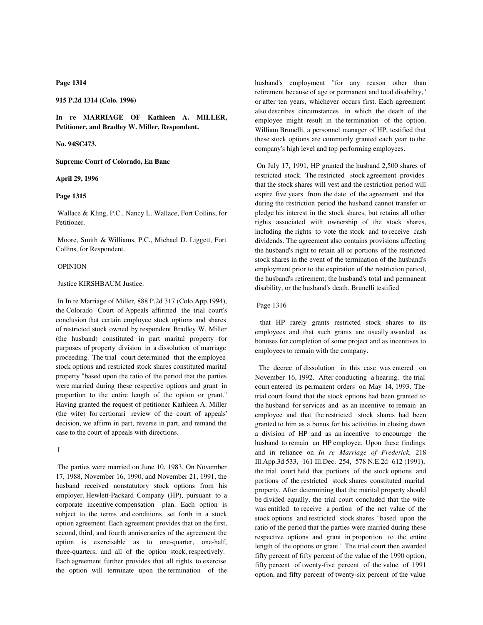**Page 1314**

**915 P.2d 1314 (Colo. 1996)**

**In re MARRIAGE OF Kathleen A. MILLER, Petitioner, and Bradley W. Miller, Respondent.**

**No. 94SC473.**

**Supreme Court of Colorado, En Banc**

**April 29, 1996**

# **Page 1315**

 Wallace & Kling, P.C., Nancy L. Wallace, Fort Collins, for Petitioner.

 Moore, Smith & Williams, P.C., Michael D. Liggett, Fort Collins, for Respondent.

#### OPINION

### Justice KIRSHBAUM Justice.

 In In re Marriage of Miller, 888 P.2d 317 (Colo.App.1994), the Colorado Court of Appeals affirmed the trial court's conclusion that certain employee stock options and shares of restricted stock owned by respondent Bradley W. Miller (the husband) constituted in part marital property for purposes of property division in a dissolution of marriage proceeding. The trial court determined that the employee stock options and restricted stock shares constituted marital property "based upon the ratio of the period that the parties were married during these respective options and grant in proportion to the entire length of the option or grant." Having granted the request of petitioner Kathleen A. Miller (the wife) for certiorari review of the court of appeals' decision, we affirm in part, reverse in part, and remand the case to the court of appeals with directions.

I

 The parties were married on June 10, 1983. On November 17, 1988, November 16, 1990, and November 21, 1991, the husband received nonstatutory stock options from his employer, Hewlett-Packard Company (HP), pursuant to a corporate incentive compensation plan. Each option is subject to the terms and conditions set forth in a stock option agreement. Each agreement provides that on the first, second, third, and fourth anniversaries of the agreement the option is exercisable as to one-quarter, one-half, three-quarters, and all of the option stock, respectively. Each agreement further provides that all rights to exercise the option will terminate upon the termination of the husband's employment "for any reason other than retirement because of age or permanent and total disability," or after ten years, whichever occurs first. Each agreement also describes circumstances in which the death of the employee might result in the termination of the option. William Brunelli, a personnel manager of HP, testified that these stock options are commonly granted each year to the company's high level and top performing employees.

 On July 17, 1991, HP granted the husband 2,500 shares of restricted stock. The restricted stock agreement provides that the stock shares will vest and the restriction period will expire five years from the date of the agreement and that during the restriction period the husband cannot transfer or pledge his interest in the stock shares, but retains all other rights associated with ownership of the stock shares, including the rights to vote the stock and to receive cash dividends. The agreement also contains provisions affecting the husband's right to retain all or portions of the restricted stock shares in the event of the termination of the husband's employment prior to the expiration of the restriction period, the husband's retirement, the husband's total and permanent disability, or the husband's death. Brunelli testified

#### Page 1316

 that HP rarely grants restricted stock shares to its employees and that such grants are usually awarded as bonuses for completion of some project and as incentives to employees to remain with the company.

 The decree of dissolution in this case was entered on November 16, 1992. After conducting a hearing, the trial court entered its permanent orders on May 14, 1993. The trial court found that the stock options had been granted to the husband for services and as an incentive to remain an employee and that the restricted stock shares had been granted to him as a bonus for his activities in closing down a division of HP and as an incentive to encourage the husband to remain an HP employee. Upon these findings and in reliance on *In re Marriage of Frederick,* 218 Ill.App.3d 533, 161 Ill.Dec. 254, 578 N.E.2d 612 (1991), the trial court held that portions of the stock options and portions of the restricted stock shares constituted marital property. After determining that the marital property should be divided equally, the trial court concluded that the wife was entitled to receive a portion of the net value of the stock options and restricted stock shares "based upon the ratio of the period that the parties were married during these respective options and grant in proportion to the entire length of the options or grant." The trial court then awarded fifty percent of fifty percent of the value of the 1990 option, fifty percent of twenty-five percent of the value of 1991 option, and fifty percent of twenty-six percent of the value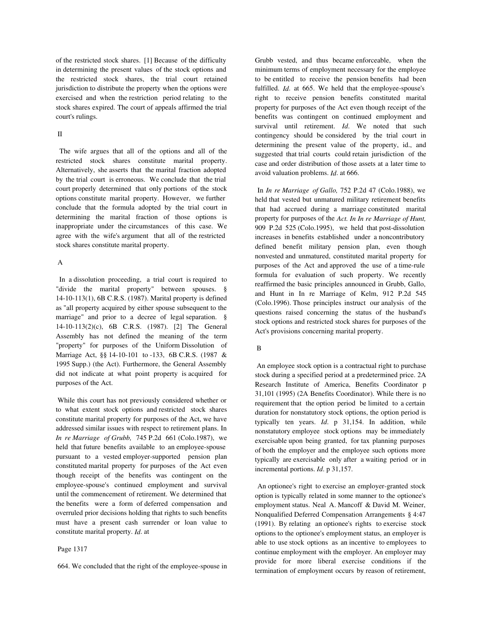of the restricted stock shares. [1] Because of the difficulty in determining the present values of the stock options and the restricted stock shares, the trial court retained jurisdiction to distribute the property when the options were exercised and when the restriction period relating to the stock shares expired. The court of appeals affirmed the trial court's rulings.

## II

 The wife argues that all of the options and all of the restricted stock shares constitute marital property. Alternatively, she asserts that the marital fraction adopted by the trial court is erroneous. We conclude that the trial court properly determined that only portions of the stock options constitute marital property. However, we further conclude that the formula adopted by the trial court in determining the marital fraction of those options is inappropriate under the circumstances of this case. We agree with the wife's argument that all of the restricted stock shares constitute marital property.

# A

 In a dissolution proceeding, a trial court is required to "divide the marital property" between spouses. § 14-10-113(1), 6B C.R.S. (1987). Marital property is defined as "all property acquired by either spouse subsequent to the marriage" and prior to a decree of legal separation. § 14-10-113(2)(c), 6B C.R.S. (1987). [2] The General Assembly has not defined the meaning of the term "property" for purposes of the Uniform Dissolution of Marriage Act, §§ 14-10-101 to -133, 6B C.R.S. (1987 & 1995 Supp.) (the Act). Furthermore, the General Assembly did not indicate at what point property is acquired for purposes of the Act.

 While this court has not previously considered whether or to what extent stock options and restricted stock shares constitute marital property for purposes of the Act, we have addressed similar issues with respect to retirement plans. In *In re Marriage of Grubb,* 745 P.2d 661 (Colo.1987), we held that future benefits available to an employee-spouse pursuant to a vested employer-supported pension plan constituted marital property for purposes of the Act even though receipt of the benefits was contingent on the employee-spouse's continued employment and survival until the commencement of retirement. We determined that the benefits were a form of deferred compensation and overruled prior decisions holding that rights to such benefits must have a present cash surrender or loan value to constitute marital property. *Id*. at

#### Page 1317

664. We concluded that the right of the employee-spouse in

Grubb vested, and thus became enforceable, when the minimum terms of employment necessary for the employee to be entitled to receive the pension benefits had been fulfilled. *Id.* at 665. We held that the employee-spouse's right to receive pension benefits constituted marital property for purposes of the Act even though receipt of the benefits was contingent on continued employment and survival until retirement. *Id*. We noted that such contingency should be considered by the trial court in determining the present value of the property, id., and suggested that trial courts could retain jurisdiction of the case and order distribution of those assets at a later time to avoid valuation problems. *Id*. at 666.

 In *In re Marriage of Gallo,* 752 P.2d 47 (Colo.1988), we held that vested but unmatured military retirement benefits that had accrued during a marriage constituted marital property for purposes of the *Act. In In re Marriage of Hunt,* 909 P.2d 525 (Colo.1995), we held that post-dissolution increases in benefits established under a noncontributory defined benefit military pension plan, even though nonvested and unmatured, constituted marital property for purposes of the Act and approved the use of a time-rule formula for evaluation of such property. We recently reaffirmed the basic principles announced in Grubb, Gallo, and Hunt in In re Marriage of Kelm, 912 P.2d 545 (Colo.1996). Those principles instruct our analysis of the questions raised concerning the status of the husband's stock options and restricted stock shares for purposes of the Act's provisions concerning marital property.

## B

 An employee stock option is a contractual right to purchase stock during a specified period at a predetermined price. 2A Research Institute of America, Benefits Coordinator p 31,101 (1995) (2A Benefits Coordinator). While there is no requirement that the option period be limited to a certain duration for nonstatutory stock options, the option period is typically ten years. *Id*. p 31,154. In addition, while nonstatutory employee stock options may be immediately exercisable upon being granted, for tax planning purposes of both the employer and the employee such options more typically are exercisable only after a waiting period or in incremental portions. *Id*. p 31,157.

 An optionee's right to exercise an employer-granted stock option is typically related in some manner to the optionee's employment status. Neal A. Mancoff & David M. Weiner, Nonqualified Deferred Compensation Arrangements § 4:47 (1991). By relating an optionee's rights to exercise stock options to the optionee's employment status, an employer is able to use stock options as an incentive to employees to continue employment with the employer. An employer may provide for more liberal exercise conditions if the termination of employment occurs by reason of retirement,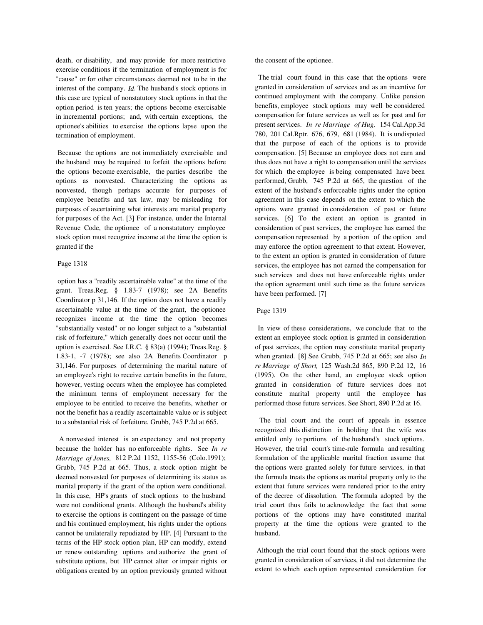death, or disability, and may provide for more restrictive exercise conditions if the termination of employment is for "cause" or for other circumstances deemed not to be in the interest of the company. *Id*. The husband's stock options in this case are typical of nonstatutory stock options in that the option period is ten years; the options become exercisable in incremental portions; and, with certain exceptions, the optionee's abilities to exercise the options lapse upon the termination of employment.

 Because the options are not immediately exercisable and the husband may be required to forfeit the options before the options become exercisable, the parties describe the options as nonvested. Characterizing the options as nonvested, though perhaps accurate for purposes of employee benefits and tax law, may be misleading for purposes of ascertaining what interests are marital property for purposes of the Act. [3] For instance, under the Internal Revenue Code, the optionee of a nonstatutory employee stock option must recognize income at the time the option is granted if the

# Page 1318

 option has a "readily ascertainable value" at the time of the grant. Treas.Reg. § 1.83-7 (1978); see 2A Benefits Coordinator p 31,146. If the option does not have a readily ascertainable value at the time of the grant, the optionee recognizes income at the time the option becomes "substantially vested" or no longer subject to a "substantial risk of forfeiture," which generally does not occur until the option is exercised. See I.R.C. § 83(a) (1994); Treas.Reg. § 1.83-1, -7 (1978); see also 2A Benefits Coordinator p 31,146. For purposes of determining the marital nature of an employee's right to receive certain benefits in the future, however, vesting occurs when the employee has completed the minimum terms of employment necessary for the employee to be entitled to receive the benefits, whether or not the benefit has a readily ascertainable value or is subject to a substantial risk of forfeiture. Grubb, 745 P.2d at 665.

 A nonvested interest is an expectancy and not property because the holder has no enforceable rights. See *In re Marriage of Jones,* 812 P.2d 1152, 1155-56 (Colo.1991); Grubb, 745 P.2d at 665. Thus, a stock option might be deemed nonvested for purposes of determining its status as marital property if the grant of the option were conditional. In this case, HP's grants of stock options to the husband were not conditional grants. Although the husband's ability to exercise the options is contingent on the passage of time and his continued employment, his rights under the options cannot be unilaterally repudiated by HP. [4] Pursuant to the terms of the HP stock option plan, HP can modify, extend or renew outstanding options and authorize the grant of substitute options, but HP cannot alter or impair rights or obligations created by an option previously granted without the consent of the optionee.

 The trial court found in this case that the options were granted in consideration of services and as an incentive for continued employment with the company. Unlike pension benefits, employee stock options may well be considered compensation for future services as well as for past and for present services. *In re Marriage of Hug,* 154 Cal.App.3d 780, 201 Cal.Rptr. 676, 679, 681 (1984). It is undisputed that the purpose of each of the options is to provide compensation. [5] Because an employee does not earn and thus does not have a right to compensation until the services for which the employee is being compensated have been performed, Grubb, 745 P.2d at 665, the question of the extent of the husband's enforceable rights under the option agreement in this case depends on the extent to which the options were granted in consideration of past or future services. [6] To the extent an option is granted in consideration of past services, the employee has earned the compensation represented by a portion of the option and may enforce the option agreement to that extent. However, to the extent an option is granted in consideration of future services, the employee has not earned the compensation for such services and does not have enforceable rights under the option agreement until such time as the future services have been performed. [7]

### Page 1319

 In view of these considerations, we conclude that to the extent an employee stock option is granted in consideration of past services, the option may constitute marital property when granted. [8] See Grubb, 745 P.2d at 665; see also *In re Marriage of Short,* 125 Wash.2d 865, 890 P.2d 12, 16 (1995). On the other hand, an employee stock option granted in consideration of future services does not constitute marital property until the employee has performed those future services. See Short, 890 P.2d at 16.

 The trial court and the court of appeals in essence recognized this distinction in holding that the wife was entitled only to portions of the husband's stock options. However, the trial court's time-rule formula and resulting formulation of the applicable marital fraction assume that the options were granted solely for future services, in that the formula treats the options as marital property only to the extent that future services were rendered prior to the entry of the decree of dissolution. The formula adopted by the trial court thus fails to acknowledge the fact that some portions of the options may have constituted marital property at the time the options were granted to the husband.

 Although the trial court found that the stock options were granted in consideration of services, it did not determine the extent to which each option represented consideration for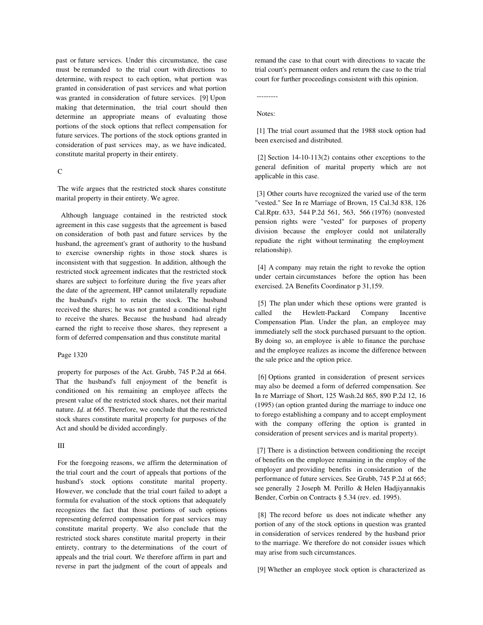past or future services. Under this circumstance, the case must be remanded to the trial court with directions to determine, with respect to each option, what portion was granted in consideration of past services and what portion was granted in consideration of future services. [9] Upon making that determination, the trial court should then determine an appropriate means of evaluating those portions of the stock options that reflect compensation for future services. The portions of the stock options granted in consideration of past services may, as we have indicated, constitute marital property in their entirety.

# $\mathcal{C}$

 The wife argues that the restricted stock shares constitute marital property in their entirety. We agree.

 Although language contained in the restricted stock agreement in this case suggests that the agreement is based on consideration of both past and future services by the husband, the agreement's grant of authority to the husband to exercise ownership rights in those stock shares is inconsistent with that suggestion. In addition, although the restricted stock agreement indicates that the restricted stock shares are subject to forfeiture during the five years after the date of the agreement, HP cannot unilaterally repudiate the husband's right to retain the stock. The husband received the shares; he was not granted a conditional right to receive the shares. Because the husband had already earned the right to receive those shares, they represent a form of deferred compensation and thus constitute marital

### Page 1320

 property for purposes of the Act. Grubb, 745 P.2d at 664. That the husband's full enjoyment of the benefit is conditioned on his remaining an employee affects the present value of the restricted stock shares, not their marital nature. *Id*. at 665. Therefore, we conclude that the restricted stock shares constitute marital property for purposes of the Act and should be divided accordingly.

## III

 For the foregoing reasons, we affirm the determination of the trial court and the court of appeals that portions of the husband's stock options constitute marital property. However, we conclude that the trial court failed to adopt a formula for evaluation of the stock options that adequately recognizes the fact that those portions of such options representing deferred compensation for past services may constitute marital property. We also conclude that the restricted stock shares constitute marital property in their entirety, contrary to the determinations of the court of appeals and the trial court. We therefore affirm in part and reverse in part the judgment of the court of appeals and remand the case to that court with directions to vacate the trial court's permanent orders and return the case to the trial court for further proceedings consistent with this opinion.

---------

### Notes:

 [1] The trial court assumed that the 1988 stock option had been exercised and distributed.

 [2] Section 14-10-113(2) contains other exceptions to the general definition of marital property which are not applicable in this case.

[3] Other courts have recognized the varied use of the term "vested." See In re Marriage of Brown, 15 Cal.3d 838, 126 Cal.Rptr. 633, 544 P.2d 561, 563, 566 (1976) (nonvested pension rights were "vested" for purposes of property division because the employer could not unilaterally repudiate the right without terminating the employment relationship).

 [4] A company may retain the right to revoke the option under certain circumstances before the option has been exercised. 2A Benefits Coordinator p 31,159.

 [5] The plan under which these options were granted is called the Hewlett-Packard Company Incentive Compensation Plan. Under the plan, an employee may immediately sell the stock purchased pursuant to the option. By doing so, an employee is able to finance the purchase and the employee realizes as income the difference between the sale price and the option price.

 [6] Options granted in consideration of present services may also be deemed a form of deferred compensation. See In re Marriage of Short, 125 Wash.2d 865, 890 P.2d 12, 16 (1995) (an option granted during the marriage to induce one to forego establishing a company and to accept employment with the company offering the option is granted in consideration of present services and is marital property).

 [7] There is a distinction between conditioning the receipt of benefits on the employee remaining in the employ of the employer and providing benefits in consideration of the performance of future services. See Grubb, 745 P.2d at 665; see generally 2 Joseph M. Perillo & Helen Hadjiyannakis Bender, Corbin on Contracts § 5.34 (rev. ed. 1995).

 [8] The record before us does not indicate whether any portion of any of the stock options in question was granted in consideration of services rendered by the husband prior to the marriage. We therefore do not consider issues which may arise from such circumstances.

[9] Whether an employee stock option is characterized as